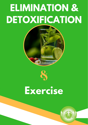# **ELIMINATION &** DETOXIFICATION



## **Exercise**

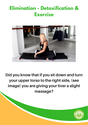### **Elimination - Detoxification & Exercise**



#### Did you know that if you sit down and turn your upper torso to the right side, (see image) you are giving your liver a slight massage?

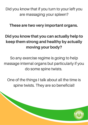Did you know that if you turn to your left you are massaging your spleen?

These are two very important organs.

#### Did you know that you can actually help to keep them strong and healthy by actually moving your body?

So any exercise regime is going to help massage internal organs but particularly if you do some spine twists.

One of the things I talk about all the time is spine twists. They are so beneficial!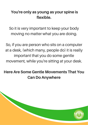#### You're only as young as your spine is flexible.

So it is very important to keep your body moving no matter what you are doing.

So, if you are person who sits on a computer at a desk, (which many, people do) it is really important that you do some gentle movement, while you're sitting at your desk.

#### Here Are Some Gentle Movements That You Can Do Anywhere

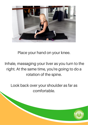

Place your hand on your knee.

Inhale, massaging your liver as you turn to the right. At the same time, you're going to do a rotation of the spine.

Look back over your shoulder as far as comfortable.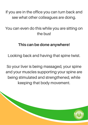If you are in the office you can turn back and see what other colleagues are doing.

You can even do this while you are sitting on the bus!

#### This can be done anywhere!

Looking back and having that spine twist.

So your liver is being massaged, your spine and your muscles supporting your spine are being stimulated and strengthened, while keeping that body movement.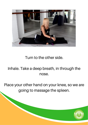

Turn to the other side.

#### Inhale. Take a deep breath, in through the nose.

Place your other hand on your knee, so we are going to massage the spleen.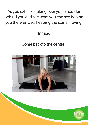As you exhale, looking over your shoulder behind you and see what you can see behind you there as well, keeping the spine moving.

Inhale.

#### Come back to the centre.

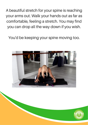A beautiful stretch for your spine is reaching your arms out. Walk your hands out as far as comfortable, feeling a stretch. You may find you can drop all the way down if you wish.

You'd be keeping your spine moving too.



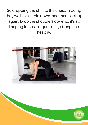So dropping the chin to the chest. In doing that, we have a role down, and then back up again. Drop the shoulders down so it's all keeping internal organs nice, strong and healthy.



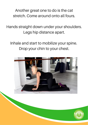Another great one to do is the cat stretch. Come around onto all fours.

Hands straight down under your shoulders. Legs hip distance apart.

Inhale and start to mobilize your spine. Drop your chin to your chest.

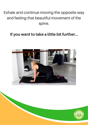#### Exhale and continue moving the opposite way and feeling that beautiful movement of the spine.

#### If you want to take a little bit further…



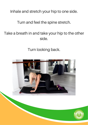Inhale and stretch your hip to one side.

#### Turn and feel the spine stretch.

#### Take a breath in and take your hip to the other side.

Turn looking back.

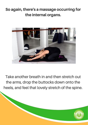#### So again, there's a massage occurring for the internal organs.



Take another breath in and then stretch out the arms, drop the buttocks down onto the heels, and feel that lovely stretch of the spine.